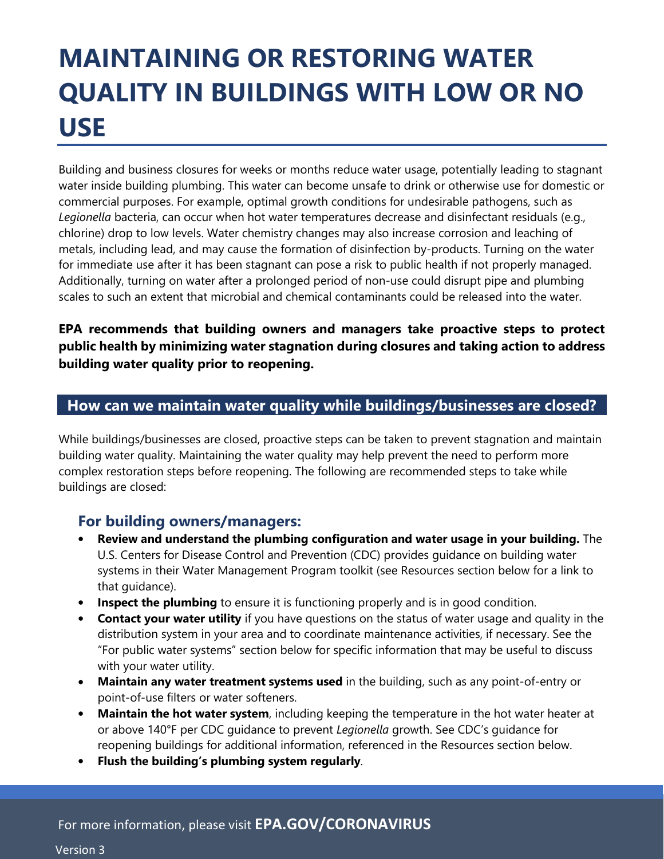# **MAINTAINING OR RESTORING WATER QUALITY IN BUILDINGS WITH LOW OR NO USE**

Building and business closures for weeks or months reduce water usage, potentially leading to stagnant water inside building plumbing. This water can become unsafe to drink or otherwise use for domestic or commercial purposes. For example, optimal growth conditions for undesirable pathogens, such as *Legionella* bacteria, can occur when hot water temperatures decrease and disinfectant residuals (e.g., chlorine) drop to low levels. Water chemistry changes may also increase corrosion and leaching of metals, including lead, and may cause the formation of disinfection by-products. Turning on the water for immediate use after it has been stagnant can pose a risk to public health if not properly managed. Additionally, turning on water after a prolonged period of non-use could disrupt pipe and plumbing scales to such an extent that microbial and chemical contaminants could be released into the water.

**EPA recommends that building owners and managers take proactive steps to protect public health by minimizing water stagnation during closures and taking action to address building water quality prior to reopening.**

## **How can we maintain water quality while buildings/businesses are closed?**

While buildings/businesses are closed, proactive steps can be taken to prevent stagnation and maintain building water quality. Maintaining the water quality may help prevent the need to perform more complex restoration steps before reopening. The following are recommended steps to take while buildings are closed:

# **For building owners/managers:**

- **Review and understand the plumbing configuration and water usage in your building.** The U.S. Centers for Disease Control and Prevention (CDC) provides guidance on building water systems in their Water Management Program toolkit (see Resources section below for a link to that guidance).
- **Inspect the plumbing** to ensure it is functioning properly and is in good condition.
- **Contact your water utility** if you have questions on the status of water usage and quality in the distribution system in your area and to coordinate maintenance activities, if necessary. See the "For public water systems" section below for specific information that may be useful to discuss with your water utility.
- **Maintain any water treatment systems used** in the building, such as any point-of-entry or point-of-use filters or water softeners.
- **Maintain the hot water system**, including keeping the temperature in the hot water heater at or above 140°F per CDC guidance to prevent *Legionella* growth. See CDC's guidance for reopening buildings for additional information, referenced in the Resources section below.
- **Flush the building's plumbing system regularly**.

Version 3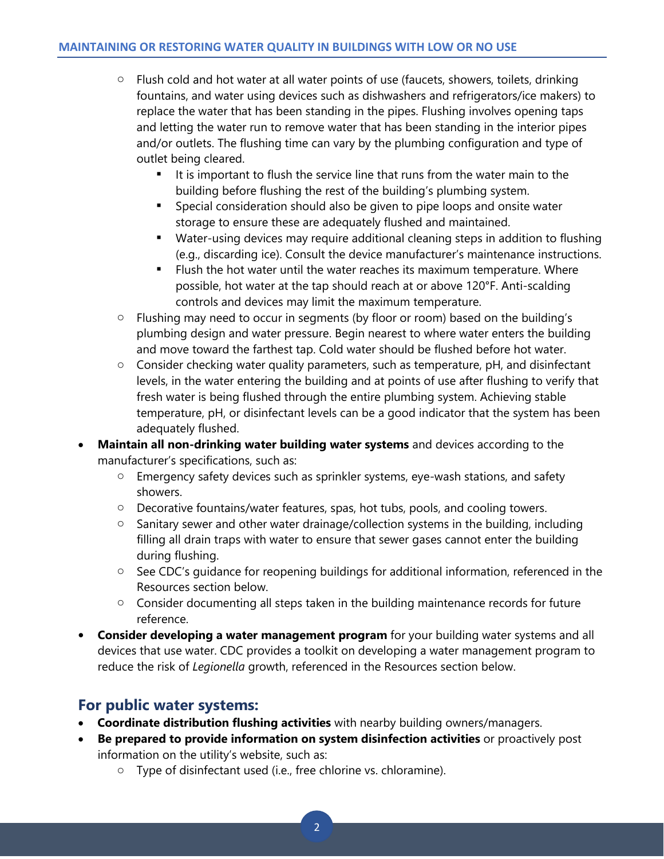- $\circ$  Flush cold and hot water at all water points of use (faucets, showers, toilets, drinking fountains, and water using devices such as dishwashers and refrigerators/ice makers) to replace the water that has been standing in the pipes. Flushing involves opening taps and letting the water run to remove water that has been standing in the interior pipes and/or outlets. The flushing time can vary by the plumbing configuration and type of outlet being cleared.
	- It is important to flush the service line that runs from the water main to the building before flushing the rest of the building's plumbing system.
	- **Special consideration should also be given to pipe loops and onsite water** storage to ensure these are adequately flushed and maintained.
	- Water-using devices may require additional cleaning steps in addition to flushing (e.g., discarding ice). Consult the device manufacturer's maintenance instructions.
	- Flush the hot water until the water reaches its maximum temperature. Where possible, hot water at the tap should reach at or above 120°F. Anti-scalding controls and devices may limit the maximum temperature.
- o Flushing may need to occur in segments (by floor or room) based on the building's plumbing design and water pressure. Begin nearest to where water enters the building and move toward the farthest tap. Cold water should be flushed before hot water.
- o Consider checking water quality parameters, such as temperature, pH, and disinfectant levels, in the water entering the building and at points of use after flushing to verify that fresh water is being flushed through the entire plumbing system. Achieving stable temperature, pH, or disinfectant levels can be a good indicator that the system has been adequately flushed.
- **Maintain all non-drinking water building water systems** and devices according to the manufacturer's specifications, such as:
	- o Emergency safety devices such as sprinkler systems, eye-wash stations, and safety showers.
	- o Decorative fountains/water features, spas, hot tubs, pools, and cooling towers.
	- o Sanitary sewer and other water drainage/collection systems in the building, including filling all drain traps with water to ensure that sewer gases cannot enter the building during flushing.
	- o See CDC's guidance for reopening buildings for additional information, referenced in the Resources section below.
	- o Consider documenting all steps taken in the building maintenance records for future reference.
- **Consider developing a water management program** for your building water systems and all devices that use water. CDC provides a toolkit on developing a water management program to reduce the risk of *Legionella* growth, referenced in the Resources section below.

# **For public water systems:**

- **Coordinate distribution flushing activities** with nearby building owners/managers.
- **Be prepared to provide information on system disinfection activities** or proactively post information on the utility's website, such as:
	- o Type of disinfectant used (i.e., free chlorine vs. chloramine).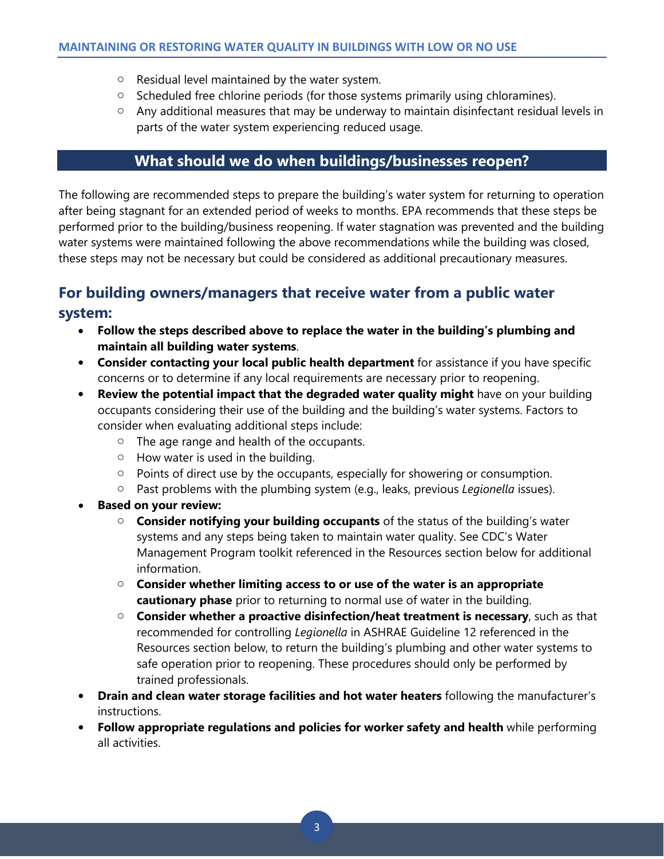- o Residual level maintained by the water system.
- o Scheduled free chlorine periods (for those systems primarily using chloramines).
- o Any additional measures that may be underway to maintain disinfectant residual levels in parts of the water system experiencing reduced usage.

# **What should we do when buildings/businesses reopen?**

The following are recommended steps to prepare the building's water system for returning to operation after being stagnant for an extended period of weeks to months. EPA recommends that these steps be performed prior to the building/business reopening. If water stagnation was prevented and the building water systems were maintained following the above recommendations while the building was closed, these steps may not be necessary but could be considered as additional precautionary measures.

# **For building owners/managers that receive water from a public water**

#### **system:**

- **Follow the steps described above to replace the water in the building's plumbing and maintain all building water systems**.
- **Consider contacting your local public health department** for assistance if you have specific concerns or to determine if any local requirements are necessary prior to reopening.
- **Review the potential impact that the degraded water quality might** have on your building occupants considering their use of the building and the building's water systems. Factors to consider when evaluating additional steps include:
	- o The age range and health of the occupants.
	- $\circ$  How water is used in the building.
	- o Points of direct use by the occupants, especially for showering or consumption.
	- o Past problems with the plumbing system (e.g., leaks, previous *Legionella* issues).
- **Based on your review:**
	- o **Consider notifying your building occupants** of the status of the building's water systems and any steps being taken to maintain water quality. See CDC's Water Management Program toolkit referenced in the Resources section below for additional information.
	- o **Consider whether limiting access to or use of the water is an appropriate cautionary phase** prior to returning to normal use of water in the building.
	- o **Consider whether a proactive disinfection/heat treatment is necessary**, such as that recommended for controlling *Legionella* in ASHRAE Guideline 12 referenced in the Resources section below, to return the building's plumbing and other water systems to safe operation prior to reopening. These procedures should only be performed by trained professionals.
- **Drain and clean water storage facilities and hot water heaters** following the manufacturer's instructions.
- **Follow appropriate regulations and policies for worker safety and health** while performing all activities.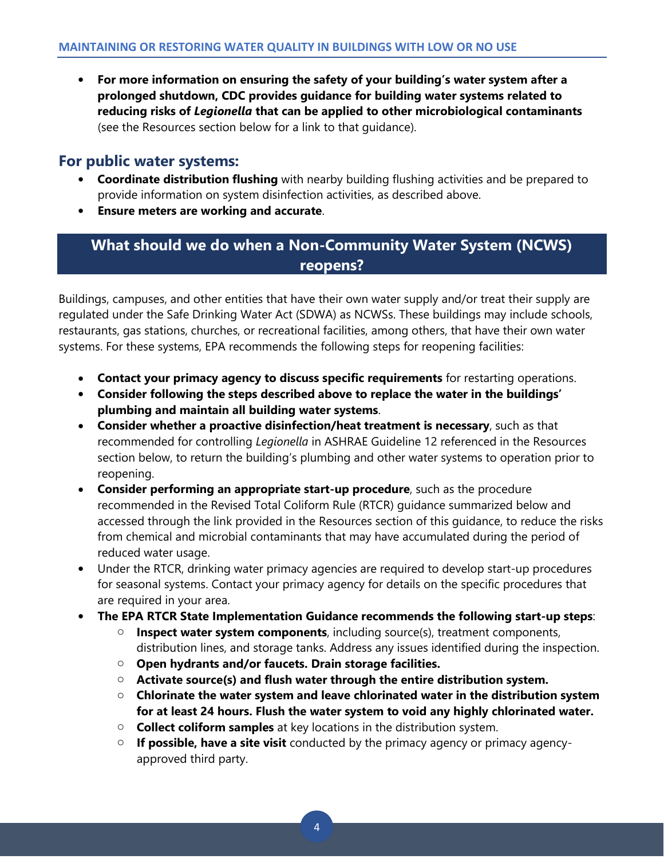• **For more information on ensuring the safety of your building's water system after a prolonged shutdown, CDC provides guidance for building water systems related to reducing risks of** *Legionella* **that can be applied to other microbiological contaminants** (see the Resources section below for a link to that guidance).

## **For public water systems:**

- **Coordinate distribution flushing** with nearby building flushing activities and be prepared to provide information on system disinfection activities, as described above.
- **Ensure meters are working and accurate**.

# **What should we do when a Non-Community Water System (NCWS) reopens?**

Buildings, campuses, and other entities that have their own water supply and/or treat their supply are regulated under the Safe Drinking Water Act (SDWA) as NCWSs. These buildings may include schools, restaurants, gas stations, churches, or recreational facilities, among others, that have their own water systems. For these systems, EPA recommends the following steps for reopening facilities:

- **Contact your primacy agency to discuss specific requirements** for restarting operations.
- **Consider following the steps described above to replace the water in the buildings' plumbing and maintain all building water systems**.
- **Consider whether a proactive disinfection/heat treatment is necessary**, such as that recommended for controlling *Legionella* in ASHRAE Guideline 12 referenced in the Resources section below, to return the building's plumbing and other water systems to operation prior to reopening.
- **Consider performing an appropriate start-up procedure**, such as the procedure recommended in the Revised Total Coliform Rule (RTCR) guidance summarized below and accessed through the link provided in the Resources section of this guidance, to reduce the risks from chemical and microbial contaminants that may have accumulated during the period of reduced water usage.
- Under the RTCR, drinking water primacy agencies are required to develop start-up procedures for seasonal systems. Contact your primacy agency for details on the specific procedures that are required in your area.
- **The EPA RTCR State Implementation Guidance recommends the following start-up steps**:
	- o **Inspect water system components**, including source(s), treatment components, distribution lines, and storage tanks. Address any issues identified during the inspection.
	- o **Open hydrants and/or faucets. Drain storage facilities.**
	- o **Activate source(s) and flush water through the entire distribution system.**
	- o **Chlorinate the water system and leave chlorinated water in the distribution system for at least 24 hours. Flush the water system to void any highly chlorinated water.**
	- o **Collect coliform samples** at key locations in the distribution system.
	- o **If possible, have a site visit** conducted by the primacy agency or primacy agencyapproved third party.